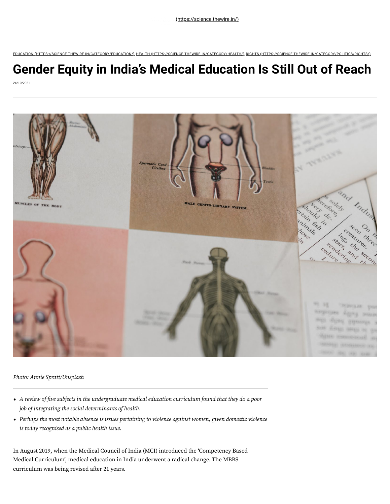EDUCATION [\(HTTPS://SCIENCE.THEWIRE.IN/CATEGORY/EDUCATION/\)](https://science.thewire.in/category/education/)*,* HEALTH [\(HTTPS://SCIENCE.THEWIRE.IN/CATEGORY/HEALTH/\)](https://science.thewire.in/category/health/)*,* RIGHTS [\(HTTPS://SCIENCE.THEWIRE.IN/CATEGORY/POLITICS/RIGHTS/\)](https://science.thewire.in/category/politics/rights/)

# **Gender Equity in India's Medical Education Is Still Out of Reach** 24/10/2021



*Photo: Annie Spratt/Unsplash*

- *A review of five subjects in the undergraduate medical education curriculum found that they do a poor job of integrating the social determinants of health.*
- *Perhaps the most notable absence is issues pertaining to violence against women, given domestic violence is today recognised as a public health issue.*

In August 2019, when the Medical Council of India (MCI) introduced the 'Competency Based Medical Curriculum', medical education in India underwent a radical change. The MBBS curriculum was being revised after 21 years.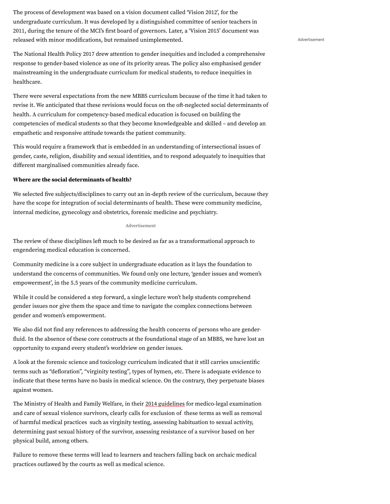The process of development was based on a vision document called 'Vision 2012', for the undergraduate curriculum. It was developed by a distinguished committee of senior teachers in 2011, during the tenure of the MCI's first board of governors. Later, a 'Vision 2015' document was released with minor modifications, but remained unimplemented.

The National Health Policy 2017 drew attention to gender inequities and included a comprehensive response to gender-based violence as one of its priority areas. The policy also emphasised gender mainstreaming in the undergraduate curriculum for medical students, to reduce inequities in healthcare.

There were several expectations from the new MBBS curriculum because of the time it had taken to revise it. We anticipated that these revisions would focus on the oft-neglected social determinants of health. A curriculum for competency-based medical education is focused on building the competencies of medical students so that they become knowledgeable and skilled – and develop an empathetic and responsive attitude towards the patient community.

This would require a framework that is embedded in an understanding of intersectional issues of gender, caste, religion, disability and sexual identities, and to respond adequately to inequities that different marginalised communities already face.

## **Where are the social determinants of health?**

We selected five subjects/disciplines to carry out an in-depth review of the curriculum, because they have the scope for integration of social determinants of health. These were community medicine, internal medicine, gynecology and obstetrics, forensic medicine and psychiatry.

## Advertisement

The review of these disciplines left much to be desired as far as a transformational approach to engendering medical education is concerned.

Community medicine is a core subject in undergraduate education as it lays the foundation to understand the concerns of communities. We found only one lecture, 'gender issues and women's empowerment', in the 5.5 years of the community medicine curriculum.

While it could be considered a step forward, a single lecture won't help students comprehend gender issues nor give them the space and time to navigate the complex connections between gender and women's empowerment.

We also did not find any references to addressing the health concerns of persons who are gender fluid. In the absence of these core constructs at the foundational stage of an MBBS, we have lost an opportunity to expand every student's worldview on gender issues.

A look at the forensic science and toxicology curriculum indicated that it still carries unscientific terms such as "defloration", "virginity testing", types of hymen, etc. There is adequate evidence to indicate that these terms have no basis in medical science. On the contrary, they perpetuate biases against women.

The Ministry of Health and Family Welfare, in their <u>[2014 guidelines](https://main.mohfw.gov.in/sites/default/files/953522324.pdf)</u> for medico-legal examination and care of sexual violence survivors, clearly calls for exclusion of these terms as well as removal of harmful medical practices such as virginity testing, assessing habituation to sexual activity, determining past sexual history of the survivor, assessing resistance of a survivor based on her physical build, among others.

Failure to remove these terms will lead to learners and teachers falling back on archaic medical practices outlawed by the courts as well as medical science.

Advertisement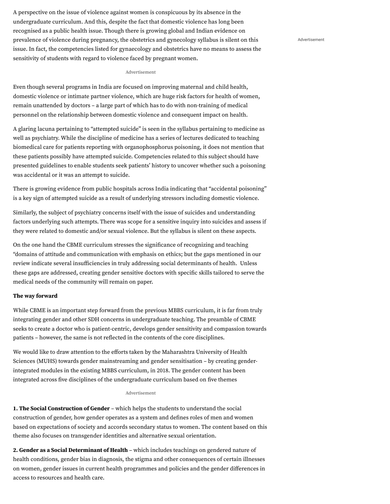A perspective on the issue of violence against women is conspicuous by its absence in the undergraduate curriculum. And this, despite the fact that domestic violence has long been recognised as a public health issue. Though there is growing global and Indian evidence on prevalence of violence during pregnancy, the obstetrics and gynecology syllabus is silent on this issue. In fact, the competencies listed for gynaecology and obstetrics have no means to assess the sensitivity of students with regard to violence faced by pregnant women.

#### Advertisement

Even though several programs in India are focused on improving maternal and child health, domestic violence or intimate partner violence, which are huge risk factors for health of women, remain unattended by doctors – a large part of which has to do with non-training of medical personnel on the relationship between domestic violence and consequent impact on health.

A glaring lacuna pertaining to "attempted suicide" is seen in the syllabus pertaining to medicine as well as psychiatry. While the discipline of medicine has a series of lectures dedicated to teaching biomedical care for patients reporting with organophosphorus poisoning, it does not mention that these patients possibly have attempted suicide. Competencies related to this subject should have presented guidelines to enable students seek patients' history to uncover whether such a poisoning was accidental or it was an attempt to suicide.

There is growing evidence from public hospitals across India indicating that "accidental poisoning" is a key sign of attempted suicide as a result of underlying stressors including domestic violence.

Similarly, the subject of psychiatry concerns itself with the issue of suicides and understanding factors underlying such attempts. There was scope for a sensitive inquiry into suicides and assess if they were related to domestic and/or sexual violence. But the syllabus is silent on these aspects.

On the one hand the CBME curriculum stresses the significance of recognizing and teaching "domains of attitude and communication with emphasis on ethics; but the gaps mentioned in our review indicate several insufficiencies in truly addressing social determinants of health. Unless these gaps are addressed, creating gender sensitive doctors with specific skills tailored to serve the medical needs of the community will remain on paper.

## **The way forward**

While CBME is an important step forward from the previous MBBS curriculum, it is far from truly integrating gender and other SDH concerns in undergraduate teaching. The preamble of CBME seeks to create a doctor who is patient-centric, develops gender sensitivity and compassion towards patients – however, the same is not reflected in the contents of the core disciplines.

We would like to draw attention to the efforts taken by the Maharashtra University of Health Sciences (MUHS) towards gender mainstreaming and gender sensitisation – by creating genderintegrated modules in the existing MBBS curriculum, in 2018. The gender content has been integrated across five disciplines of the undergraduate curriculum based on five themes

### Advertisement

**1. The Social Construction of Gender** – which helps the students to understand the social construction of gender, how gender operates as a system and defines roles of men and women based on expectations of society and accords secondary status to women. The content based on this theme also focuses on transgender identities and alternative sexual orientation.

**2. Gender as a Social Determinant of Health** – which includes teachings on gendered nature of health conditions, gender bias in diagnosis, the stigma and other consequences of certain illnesses on women, gender issues in current health programmes and policies and the gender differences in access to resources and health care.

Advertisement